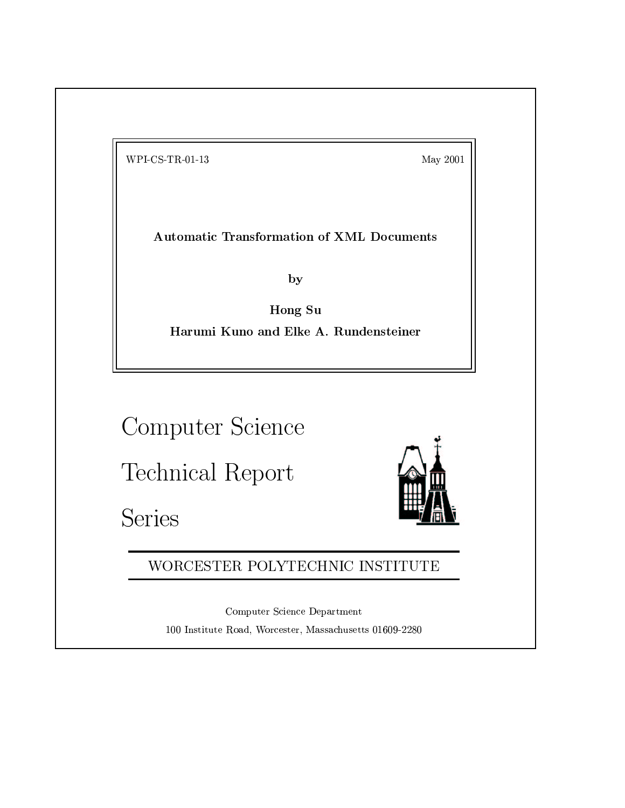$WPI-CS-TR-01-13$ 

May 2001

**Automatic Transformation of XML Documents** 

by

Hong Su Harumi Kuno and Elke A. Rundensteiner

Computer Science

Technical Report

Series



WORCESTER POLYTECHNIC INSTITUTE

Computer Science Department 100 Institute Road, Worcester, Massachusetts 01609-2280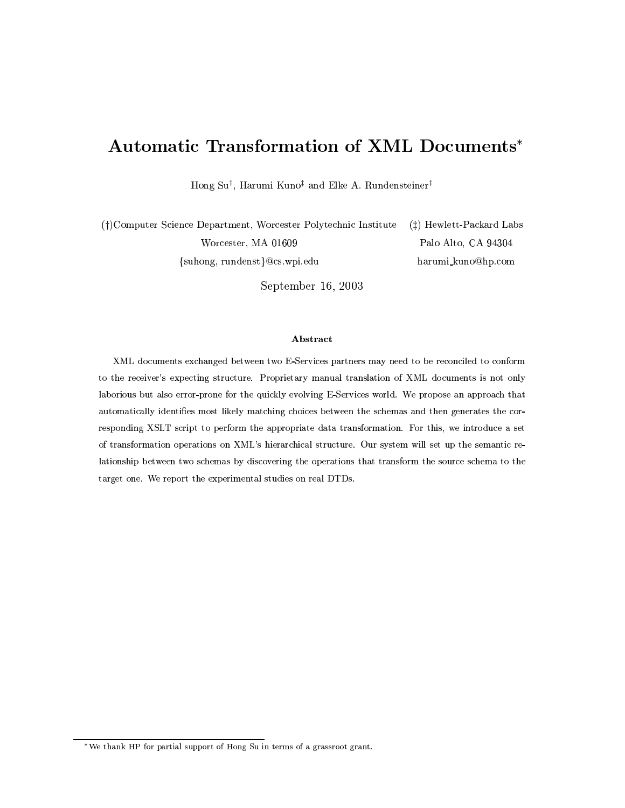# Automatic Transformation of XML Documents\*

Hong Su<sup>†</sup>, Harumi Kuno<sup>‡</sup> and Elke A. Rundensteiner<sup>†</sup>

(†)Computer Science Department, Worcester Polytechnic Institute  $(\ddagger)$  Hewlett-Packard Labs Worcester, MA 01609 Palo Alto, CA 94304 {suhong, rundenst}@cs.wpi.edu harumi\_kuno@hp.com

September 16, 2003

## Abstract

XML documents exchanged between two E-Services partners may need to be reconciled to conform to the receiver's expecting structure. Proprietary manual translation of XML documents is not only laborious but also error-prone for the quickly evolving E-Services world. We propose an approach that automatically identifies most likely matching choices between the schemas and then generates the corresponding XSLT script to perform the appropriate data transformation. For this, we introduce a set of transformation operations on XML's hierarchical structure. Our system will set up the semantic relationship between two schemas by discovering the operations that transform the source schema to the target one. We report the experimental studies on real DTDs.

<sup>\*</sup>We thank HP for partial support of Hong Su in terms of a grassroot grant.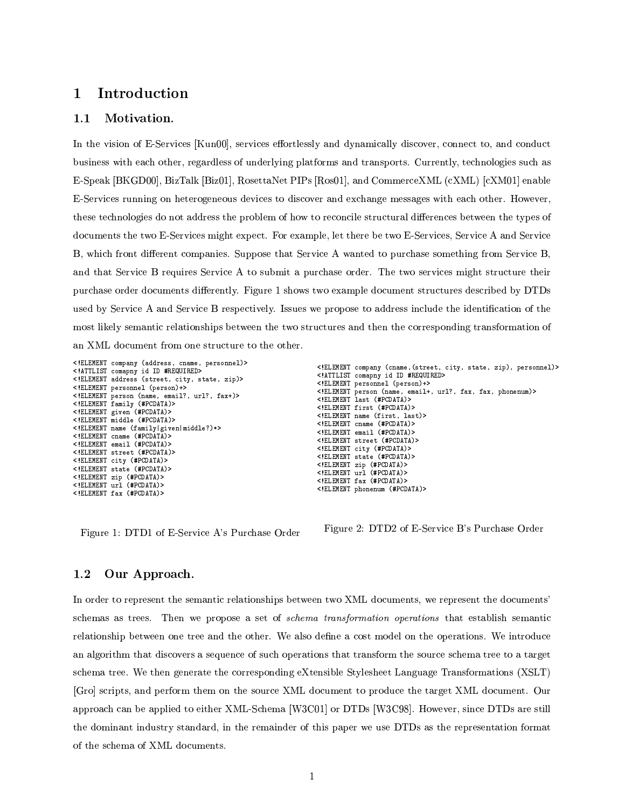## Introduction  $\mathbf 1$

#### $1.1$ Motivation.

In the vision of E-Services [Kun00], services effortlessly and dynamically discover, connect to, and conduct business with each other, regardless of underlying platforms and transports. Currently, technologies such as E-Speak [BKGD00], BizTalk [Biz01], RosettaNet PIPs [Ros01], and CommerceXML (cXML) [cXM01] enable E-Services running on heterogeneous devices to discover and exchange messages with each other. However, these technologies do not address the problem of how to reconcile structural differences between the types of documents the two E-Services might expect. For example, let there be two E-Services, Service A and Service B, which front different companies. Suppose that Service A wanted to purchase something from Service B, and that Service B requires Service A to submit a purchase order. The two services might structure their purchase order documents differently. Figure 1 shows two example document structures described by DTDs used by Service A and Service B respectively. Issues we propose to address include the identification of the most likely semantic relationships between the two structures and then the corresponding transformation of an XML document from one structure to the other.

```
<!ELEMENT company (address, cname, personnel)>
<!ATTLIST comapny id ID #REQUIRED>
<!ELEMENT address (street, city, state, zip)>
<! ELEMENT personnel (person)+>
<!ELEMENT person (name, email?, url?, fax+)>
<!ELEMENT family (#PCDATA)>
<!ELEMENT given (#PCDATA)>
<!ELEMENT middle (#PCDATA)>
<! ELEMENT name (family | given | middle?)*>
<!ELEMENT cname (#PCDATA)>
<!ELEMENT email (#PCDATA)>
<!ELEMENT street (#PCDATA)>
<! ELEMENT city (#PCDATA)>
<!ELEMENT state (#PCDATA)>
<!ELEMENT zip (#PCDATA)>
<!ELEMENT url (#PCDATA)>
<!ELEMENT fax (#PCDATA)>
```
Figure 1: DTD1 of E-Service A's Purchase Order

```
<!ELEMENT company (cname, (street, city, state, zip), personnel)>
<!ATTLIST comapny id ID #REQUIRED>
<! ELEMENT personnel (person)+>
<!ELEMENT person (name, email+, url?, fax, fax, phonenum)>
<!ELEMENT last (#PCDATA)>
<!ELEMENT first (#PCDATA)>
<! ELEMENT name (first, last)>
<! ELEMENT cname (#PCDATA)>
\langle!ELEMENT email (\texttt{\#PCDATA})<!ELEMENT street (#PCDATA)>
<! ELEMENT city (#PCDATA)>
<!ELEMENT state (#PCDATA)>
<! ELEMENT zip (#PCDATA)>
<! ELEMENT url (#PCDATA)>
<!ELEMENT fax (#PCDATA)>
<! ELEMENT phonenum (#PCDATA)>
```
Figure 2: DTD2 of E-Service B's Purchase Order

#### $1.2$ Our Approach.

In order to represent the semantic relationships between two XML documents, we represent the documents' schemas as trees. Then we propose a set of *schema transformation operations* that establish semantic relationship between one tree and the other. We also define a cost model on the operations. We introduce an algorithm that discovers a sequence of such operations that transform the source schema tree to a target schema tree. We then generate the corresponding eXtensible Stylesheet Language Transformations (XSLT) [Gro] scripts, and perform them on the source XML document to produce the target XML document. Our approach can be applied to either XML-Schema [W3C01] or DTDs [W3C98]. However, since DTDs are still the dominant industry standard, in the remainder of this paper we use DTDs as the representation format of the schema of XML documents.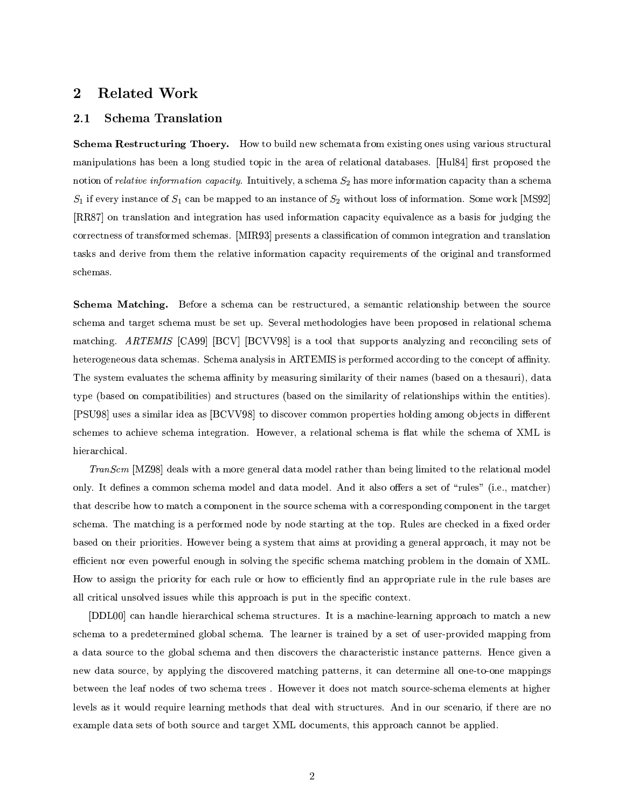## **Related Work**  $\bf{2}$

#### $2.1$ **Schema Translation**

Schema Restructuring Thoery. How to build new schemata from existing ones using various structural manipulations has been a long studied topic in the area of relational databases. [Hul84] first proposed the notion of relative information capacity. Intuitively, a schema  $S_2$  has more information capacity than a schema  $S_1$  if every instance of  $S_1$  can be mapped to an instance of  $S_2$  without loss of information. Some work [MS92] [RR87] on translation and integration has used information capacity equivalence as a basis for judging the correctness of transformed schemas. [MIR93] presents a classification of common integration and translation tasks and derive from them the relative information capacity requirements of the original and transformed schemas.

Schema Matching. Before a schema can be restructured, a semantic relationship between the source schema and target schema must be set up. Several methodologies have been proposed in relational schema matching. ARTEMIS [CA99] [BCV] [BCVV98] is a tool that supports analyzing and reconciling sets of heterogeneous data schemas. Schema analysis in ARTEMIS is performed according to the concept of affinity. The system evaluates the schema affinity by measuring similarity of their names (based on a the sauri), data type (based on compatibilities) and structures (based on the similarity of relationships within the entities). [PSU98] uses a similar idea as [BCVV98] to discover common properties holding among objects in different schemes to achieve schema integration. However, a relational schema is flat while the schema of XML is hierarchical.

TranScm [MZ98] deals with a more general data model rather than being limited to the relational model only. It defines a common schema model and data model. And it also offers a set of "rules" (i.e., matcher) that describe how to match a component in the source schema with a corresponding component in the target schema. The matching is a performed node by node starting at the top. Rules are checked in a fixed order based on their priorities. However being a system that aims at providing a general approach, it may not be efficient nor even powerful enough in solving the specific schema matching problem in the domain of XML. How to assign the priority for each rule or how to efficiently find an appropriate rule in the rule bases are all critical unsolved issues while this approach is put in the specific context.

[DDL00] can handle hierarchical schema structures. It is a machine-learning approach to match a new schema to a predetermined global schema. The learner is trained by a set of user-provided mapping from a data source to the global schema and then discovers the characteristic instance patterns. Hence given a new data source, by applying the discovered matching patterns, it can determine all one-to-one mappings between the leaf nodes of two schema trees. However it does not match source-schema elements at higher levels as it would require learning methods that deal with structures. And in our scenario, if there are no example data sets of both source and target XML documents, this approach cannot be applied.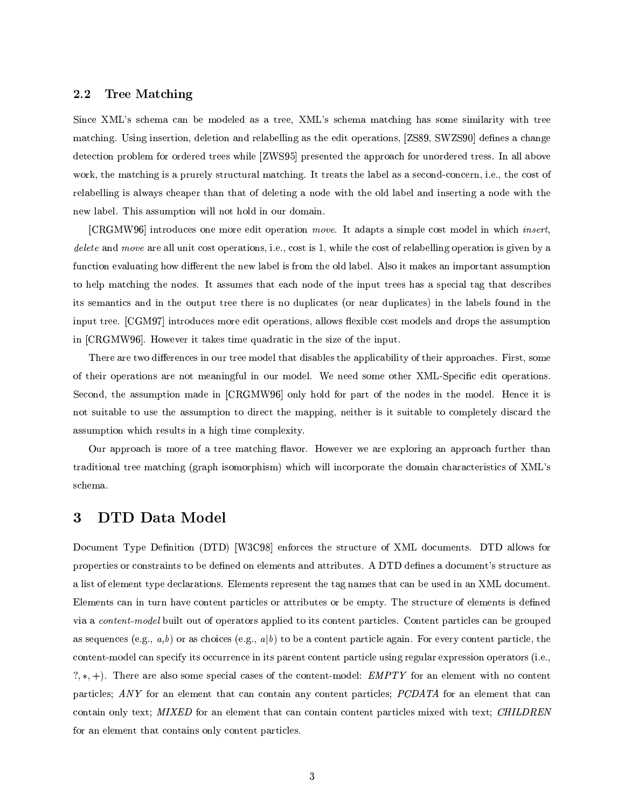#### $2.2$ Tree Matching

Since XML's schema can be modeled as a tree, XML's schema matching has some similarity with tree matching. Using insertion, deletion and relabelling as the edit operations, [ZS89, SWZS90] defines a change detection problem for ordered trees while [ZWS95] presented the approach for unordered tress. In all above work, the matching is a prurely structural matching. It treats the label as a second-concern, i.e., the cost of relabelling is always cheaper than that of deleting a node with the old label and inserting a node with the new label. This assumption will not hold in our domain.

[CRGMW96] introduces one more edit operation move. It adapts a simple cost model in which *insert*, delete and move are all unit cost operations, i.e., cost is 1, while the cost of relabelling operation is given by a function evaluating how different the new label is from the old label. Also it makes an important assumption to help matching the nodes. It assumes that each node of the input trees has a special tag that describes its semantics and in the output tree there is no duplicates (or near duplicates) in the labels found in the input tree. [CGM97] introduces more edit operations, allows flexible cost models and drops the assumption in [CRGMW96]. However it takes time quadratic in the size of the input.

There are two differences in our tree model that disables the applicability of their approaches. First, some of their operations are not meaningful in our model. We need some other XML-Specific edit operations. Second, the assumption made in [CRGMW96] only hold for part of the nodes in the model. Hence it is not suitable to use the assumption to direct the mapping, neither is it suitable to completely discard the assumption which results in a high time complexity.

Our approach is more of a tree matching flavor. However we are exploring an approach further than traditional tree matching (graph isomorphism) which will incorporate the domain characteristics of XML's schema.

## **DTD Data Model** 3

Document Type Definition (DTD) [W3C98] enforces the structure of XML documents. DTD allows for properties or constraints to be defined on elements and attributes. A DTD defines a document's structure as a list of element type declarations. Elements represent the tag names that can be used in an XML document. Elements can in turn have content particles or attributes or be empty. The structure of elements is defined via a content-model built out of operators applied to its content particles. Content particles can be grouped as sequences (e.g., a,b) or as choices (e.g., a|b) to be a content particle again. For every content particle, the content-model can specify its occurrence in its parent content particle using regular expression operators (i.e.,  $\langle x^*, + \rangle$ . There are also some special cases of the content-model: *EMPTY* for an element with no content particles; ANY for an element that can contain any content particles; PCDATA for an element that can contain only text; MIXED for an element that can contain content particles mixed with text; CHILDREN for an element that contains only content particles.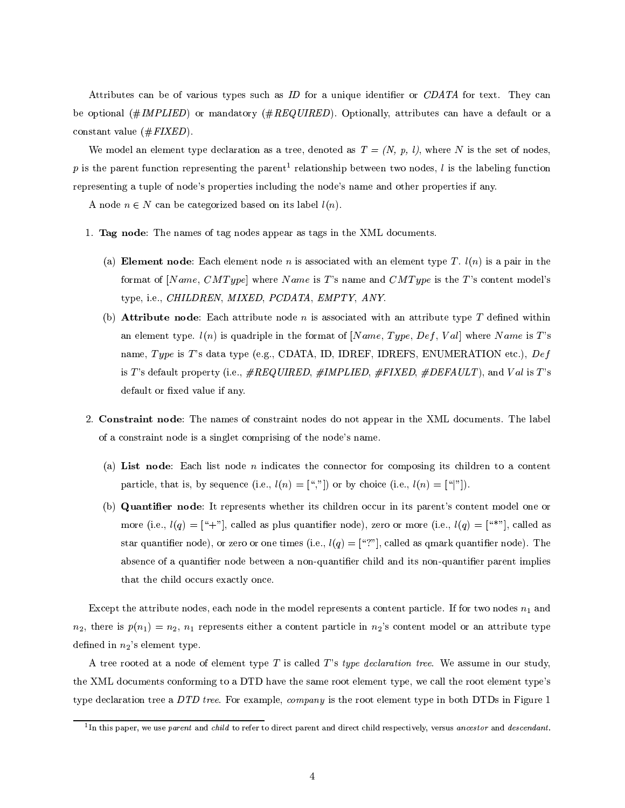Attributes can be of various types such as ID for a unique identifier or CDATA for text. They can be optional (#IMPLIED) or mandatory (#REQUIRED). Optionally, attributes can have a default or a constant value  $(\#FIXED)$ .

We model an element type declaration as a tree, denoted as  $T = (N, p, l)$ , where N is the set of nodes. p is the parent function representing the parent<sup>1</sup> relationship between two nodes, l is the labeling function representing a tuple of node's properties including the node's name and other properties if any.

A node  $n \in N$  can be categorized based on its label  $l(n)$ .

- 1. Tag node: The names of tag nodes appear as tags in the XML documents.
	- (a) Element node: Each element node n is associated with an element type T.  $l(n)$  is a pair in the format of [Name, CMType] where Name is T's name and CMType is the T's content model's type, i.e., CHILDREN, MIXED, PCDATA, EMPTY, ANY.
	- (b) **Attribute node**: Each attribute node *n* is associated with an attribute type T defined within an element type.  $l(n)$  is quadriple in the format of [Name, Type, Def, Val] where Name is T's name, Type is T's data type (e.g., CDATA, ID, IDREF, IDREFS, ENUMERATION etc.), Def is T's default property (i.e.,  $\# REQUIRED$ ,  $\#IMPLIED$ ,  $\# FIXED$ ,  $\# DEFAULT$ ), and Val is T's default or fixed value if any.
- 2. Constraint node: The names of constraint nodes do not appear in the XML documents. The label of a constraint node is a singlet comprising of the node's name.
	- (a) List node: Each list node  $n$  indicates the connector for composing its children to a content particle, that is, by sequence (i.e.,  $l(n) = \binom{n}{n}$ ) or by choice (i.e.,  $l(n) = \binom{n}{n}$ ).
	- (b) Quantifier node: It represents whether its children occur in its parent's content model one or more (i.e.,  $l(q) = [4]$ , called as plus quantifier node), zero or more (i.e.,  $l(q) = [4]$ , called as star quantifier node), or zero or one times (i.e.,  $l(q) = [``?"]$ , called as qmark quantifier node). The absence of a quantifier node between a non-quantifier child and its non-quantifier parent implies that the child occurs exactly once.

Except the attribute nodes, each node in the model represents a content particle. If for two nodes  $n_1$  and  $n_2$ , there is  $p(n_1) = n_2$ ,  $n_1$  represents either a content particle in  $n_2$ 's content model or an attribute type defined in  $n_2$ 's element type.

A tree rooted at a node of element type T is called T's type declaration tree. We assume in our study. the XML documents conforming to a DTD have the same root element type, we call the root element type's type declaration tree a DTD tree. For example, company is the root element type in both DTDs in Figure 1

 $^{1}$ In this paper, we use parent and child to refer to direct parent and direct child respectively, versus ancestor and descendant.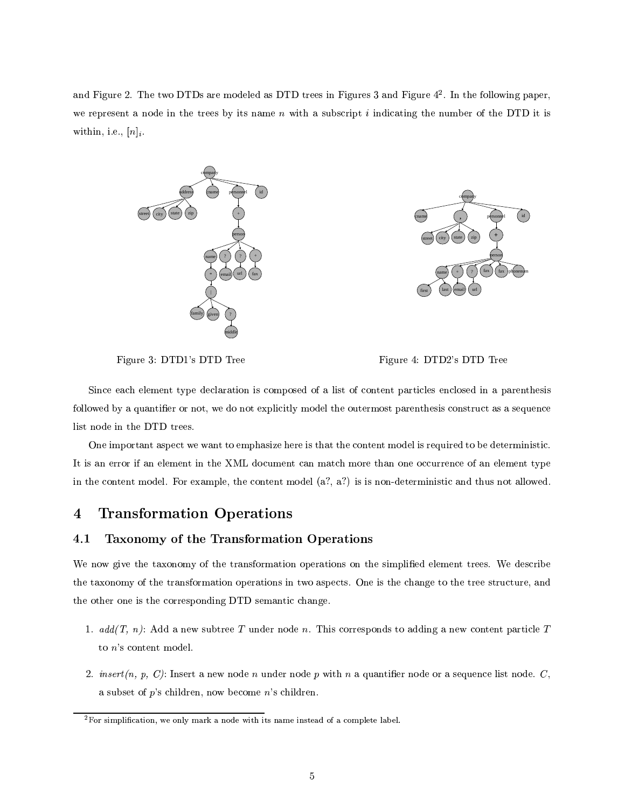and Figure 2. The two DTDs are modeled as DTD trees in Figures 3 and Figure  $4^2$ . In the following paper, we represent a node in the trees by its name  $n$  with a subscript  $i$  indicating the number of the DTD it is within, i.e.,  $[n]_i$ .



Figure 3: DTD1's DTD Tree

Figure 4: DTD2's DTD Tree

Since each element type declaration is composed of a list of content particles enclosed in a parenthesis followed by a quantifier or not, we do not explicitly model the outermost parenthesis construct as a sequence list node in the DTD trees.

One important aspect we want to emphasize here is that the content model is required to be deterministic. It is an error if an element in the XML document can match more than one occurrence of an element type in the content model. For example, the content model  $(a^2, a^2)$  is is non-deterministic and thus not allowed.

## **Transformation Operations**  $\boldsymbol{4}$

#### Taxonomy of the Transformation Operations 4.1

We now give the taxonomy of the transformation operations on the simplified element trees. We describe the taxonomy of the transformation operations in two aspects. One is the change to the tree structure, and the other one is the corresponding DTD semantic change.

- 1.  $add(T, n)$ : Add a new subtree T under node n. This corresponds to adding a new content particle T to  $n$ 's content model.
- 2.  $insert(n, p, C)$ : Insert a new node n under node p with n a quantifier node or a sequence list node. C, a subset of  $p$ 's children, now become  $n$ 's children.

 ${}^{2}$ For simplification, we only mark a node with its name instead of a complete label.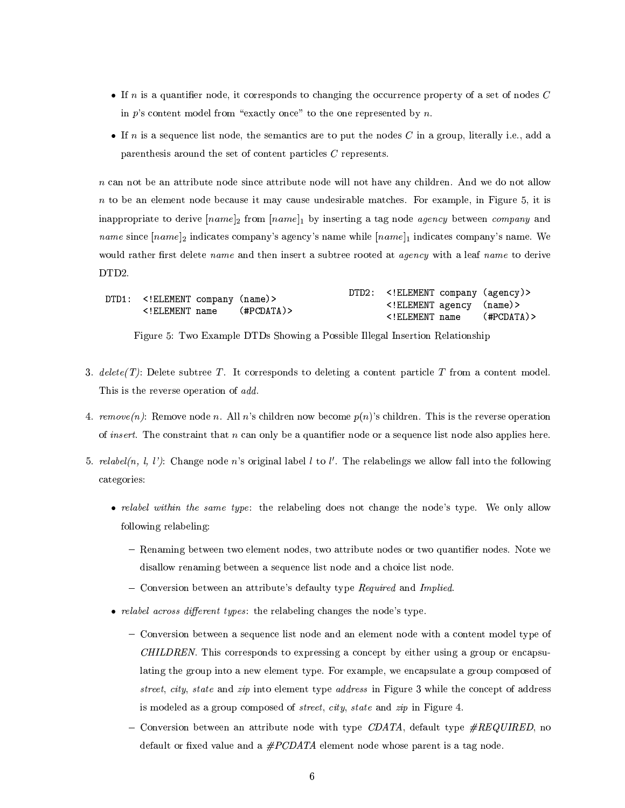- If n is a quantifier node, it corresponds to changing the occurrence property of a set of nodes  $C$ in p's content model from "exactly once" to the one represented by  $n$ .
- If n is a sequence list node, the semantics are to put the nodes C in a group, literally i.e., add a parenthesis around the set of content particles  $C$  represents.

 $n$  can not be an attribute node since attribute node will not have any children. And we do not allow  $n$  to be an element node because it may cause undesirable matches. For example, in Figure 5, it is inappropriate to derive [name]<sub>2</sub> from [name]<sub>1</sub> by inserting a tag node agency between company and *name* since  $|name|_2$  indicates company's agency's name while  $|name|_1$  indicates company's name. We would rather first delete *name* and then insert a subtree rooted at *agency* with a leaf *name* to derive DTD2.

|                                                                                                                                   |  |                                         | DTD2: ELEMENT company (agency) |  |
|-----------------------------------------------------------------------------------------------------------------------------------|--|-----------------------------------------|--------------------------------|--|
| DTD1: ELEMENT company (name)<br>ELEMENT name</td <td></td> <td>(#PCDATA)&gt;</td> <td><!--ELEMENT agency (name)--></td> <td></td> |  | (#PCDATA)>                              | ELEMENT agency (name)          |  |
|                                                                                                                                   |  | ELEMENT name</td <td>(#PCDATA)&gt;</td> | (#PCDATA)>                     |  |

Figure 5: Two Example DTDs Showing a Possible Illegal Insertion Relationship

- 3. delete(T): Delete subtree T. It corresponds to deleting a content particle T from a content model. This is the reverse operation of add.
- 4. remove(n): Remove node n. All n's children now become  $p(n)$ 's children. This is the reverse operation of *insert*. The constraint that  $n$  can only be a quantifier node or a sequence list node also applies here.
- 5. relabel(n, l, l'): Change node n's original label l to l'. The relabelings we allow fall into the following categories:
	- relabel within the same type: the relabeling does not change the node's type. We only allow following relabeling:
		- Renaming between two element nodes, two attribute nodes or two quantifier nodes. Note we disallow renaming between a sequence list node and a choice list node.
		- Conversion between an attribute's defaulty type Required and Implied.
	- relabel across different types: the relabeling changes the node's type.
		- Conversion between a sequence list node and an element node with a content model type of CHILDREN. This corresponds to expressing a concept by either using a group or encapsulating the group into a new element type. For example, we encapsulate a group composed of street, city, state and zip into element type address in Figure 3 while the concept of address is modeled as a group composed of *street*, *city*, *state* and *zip* in Figure 4.
		- Conversion between an attribute node with type CDATA, default type  $\#REQUIRED$ , no default or fixed value and a  $\#PCDATA$  element node whose parent is a tag node.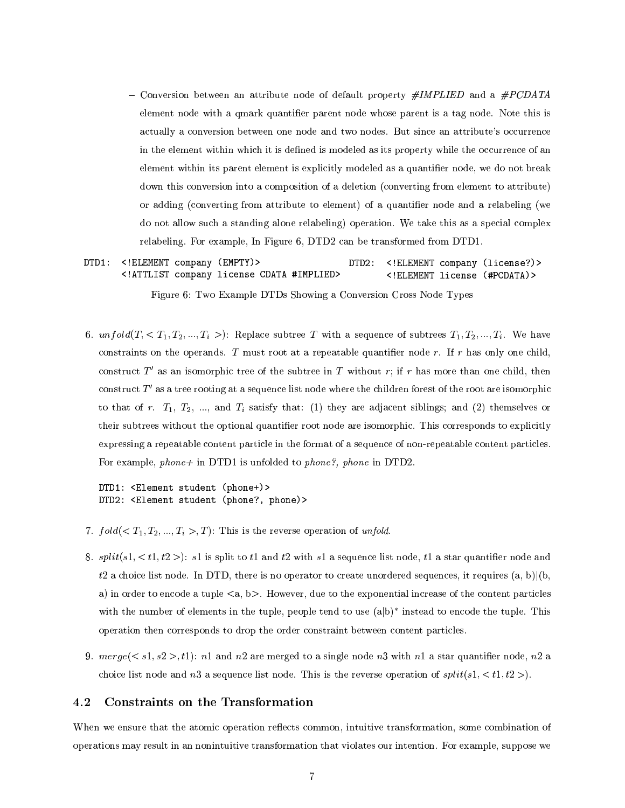- Conversion between an attribute node of default property  $\#IMPLIED$  and a  $\#PCDATA$ element node with a qmark quantifier parent node whose parent is a tag node. Note this is actually a conversion between one node and two nodes. But since an attribute's occurrence in the element within which it is defined is modeled as its property while the occurrence of an element within its parent element is explicitly modeled as a quantifier node, we do not break down this conversion into a composition of a deletion (converting from element to attribute) or adding (converting from attribute to element) of a quantifier node and a relabeling (we do not allow such a standing alone relabeling) operation. We take this as a special complex relabeling. For example, In Figure 6, DTD2 can be transformed from DTD1.
- DTD1: <! ELEMENT company (EMPTY)> DTD2: <! ELEMENT company (license?)> <!ATTLIST company license CDATA #IMPLIED> <! ELEMENT license (#PCDATA)>

Figure 6: Two Example DTDs Showing a Conversion Cross Node Types

6.  $unfold(T, \langle T_1, T_2, ..., T_i \rangle)$ : Replace subtree T with a sequence of subtrees  $T_1, T_2, ..., T_i$ . We have constraints on the operands. T must root at a repeatable quantifier node r. If r has only one child, construct T' as an isomorphic tree of the subtree in T without r; if r has more than one child, then construct  $T'$  as a tree rooting at a sequence list node where the children forest of the root are isomorphic to that of r.  $T_1$ ,  $T_2$ , ..., and  $T_i$  satisfy that: (1) they are adjacent siblings; and (2) themselves or their subtrees without the optional quantifier root node are isomorphic. This corresponds to explicitly expressing a repeatable content particle in the format of a sequence of non-repeatable content particles. For example, phone+ in DTD1 is unfolded to phone?, phone in DTD2.

DTD1: <Element student (phone+)> DTD2: <Element student (phone?, phone)>

- 7.  $fold( $T_1, T_2, ..., T_i > T$ ): This is the reverse operation of *unfold*.$
- 8.  $split(s1, )$ : s1 is split to t1 and t2 with s1 a sequence list node, t1 a star quantifier node and t2 a choice list node. In DTD, there is no operator to create unordered sequences, it requires (a, b)|(b, a) in order to encode a tuple  $\langle a, b \rangle$ . However, due to the exponential increase of the content particles with the number of elements in the tuple, people tend to use  $(a|b)^*$  instead to encode the tuple. This operation then corresponds to drop the order constraint between content particles.
- 9.  $merge(, t1)$ : n1 and n2 are merged to a single node n3 with n1 a star quantifier node, n2 a choice list node and n3 a sequence list node. This is the reverse operation of  $split(s1, )$ .

#### 4.2 Constraints on the Transformation

When we ensure that the atomic operation reflects common, intuitive transformation, some combination of operations may result in an nonintuitive transformation that violates our intention. For example, suppose we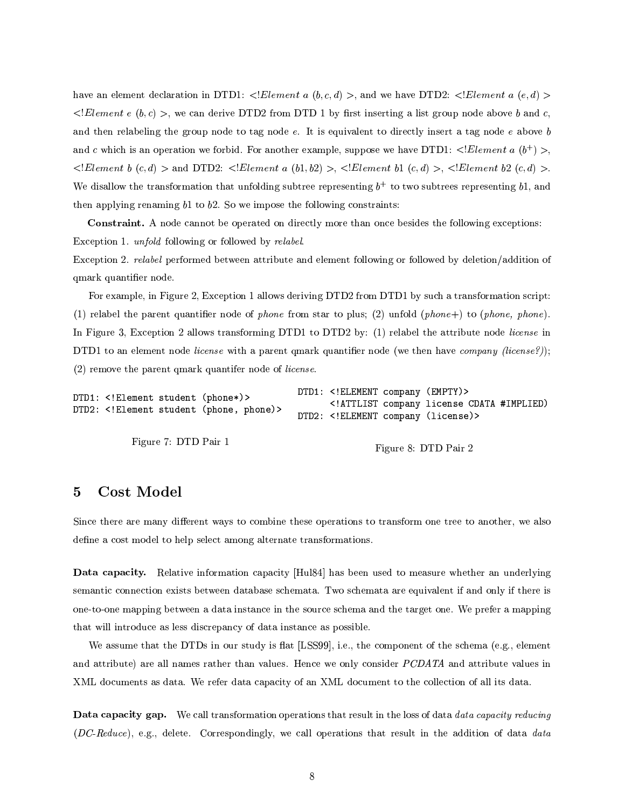have an element declaration in DTD1: <!Element a  $(b, c, d)$  >, and we have DTD2: <!Element a  $(e, d)$  >  $\leq$ !*Element e* (b, c) >, we can derive DTD2 from DTD 1 by first inserting a list group node above b and c, and then relabeling the group node to tag node  $e$ . It is equivalent to directly insert a tag node  $e$  above  $b$ and c which is an operation we forbid. For another example, suppose we have DTD1:  $\langle Element a (b^+) \rangle$ ,  $\leq Element \; b \; (c,d) >$  and DTD2:  $\leq Element \; a \; (b1,b2) > \leq Element \; b1 \; (c,d) > \leq Element \; b2 \; (c,d) > E$ We disallow the transformation that unfolding subtree representing  $b^+$  to two subtrees representing b1, and then applying renaming  $b1$  to  $b2$ . So we impose the following constraints:

**Constraint.** A node cannot be operated on directly more than once besides the following exceptions: Exception 1. *unfold* following or followed by *relabel*.

Exception 2. relatel performed between attribute and element following or followed by deletion/addition of qmark quantifier node.

For example, in Figure 2, Exception 1 allows deriving DTD2 from DTD1 by such a transformation script: (1) relabel the parent quantifier node of phone from star to plus; (2) unfold (phone+) to (phone, phone). In Figure 3, Exception 2 allows transforming DTD1 to DTD2 by: (1) relabel the attribute node license in DTD1 to an element node *license* with a parent qmark quantifier node (we then have *company (license?)*);  $(2)$  remove the parent qmark quantifer node of *license*.

DTD1: <! ELEMENT company (EMPTY)> DTD1: <! Element student (phone\*)> <!ATTLIST company license CDATA #IMPLIED) DTD2: <! Element student (phone, phone)> DTD2: <! ELEMENT company (license)>

Figure 7: DTD Pair 1

Figure 8: DTD Pair 2

## **Cost Model**  $\overline{5}$

Since there are many different ways to combine these operations to transform one tree to another, we also define a cost model to help select among alternate transformations.

**Data capacity.** Relative information capacity [Hul84] has been used to measure whether an underlying semantic connection exists between database schemata. Two schemata are equivalent if and only if there is one-to-one mapping between a data instance in the source schema and the target one. We prefer a mapping that will introduce as less discrepancy of data instance as possible.

We assume that the DTDs in our study is flat [LSS99], i.e., the component of the schema (e.g., element and attribute) are all names rather than values. Hence we only consider PCDATA and attribute values in XML documents as data. We refer data capacity of an XML document to the collection of all its data.

Data capacity gap. We call transformation operations that result in the loss of data data capacity reducing (DC-Reduce), e.g., delete. Correspondingly, we call operations that result in the addition of data data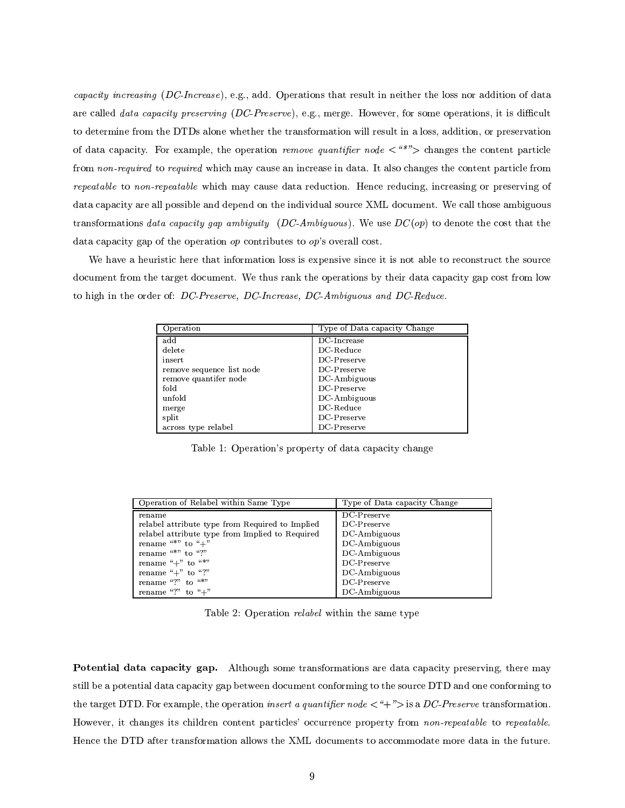capacity increasing (DC-Increase), e.g., add. Operations that result in neither the loss nor addition of data are called data capacity preserving (DC-Preserve), e.g., merge. However, for some operations, it is difficult to determine from the DTDs alone whether the transformation will result in a loss, addition, or preservation of data capacity. For example, the operation remove quantifier node  $\langle$  "\*"> changes the content particle from non-required to required which may cause an increase in data. It also changes the content particle from repeatable to non-repeatable which may cause data reduction. Hence reducing, increasing or preserving of data capacity are all possible and depend on the individual source XML document. We call those ambiguous transformations data capacity gap ambiguity (DC-Ambiguous). We use  $DC(op)$  to denote the cost that the data capacity gap of the operation  $op$  contributes to  $op$ 's overall cost.

We have a heuristic here that information loss is expensive since it is not able to reconstruct the source document from the target document. We thus rank the operations by their data capacity gap cost from low to high in the order of: DC-Preserve, DC-Increase, DC-Ambiguous and DC-Reduce.

| Operation                 | Type of Data capacity Change |
|---------------------------|------------------------------|
| add                       | DC-Increase                  |
| delete                    | DC-Reduce                    |
| insert                    | DC-Preserve                  |
| remove sequence list node | DC-Preserve                  |
| remove quantifer node     | DC-Ambiguous                 |
| fold                      | DC-Preserve                  |
| unfold                    | DC-Ambiguous                 |
| merge                     | $DC$ -Reduce                 |
| split                     | DC-Preserve                  |
| across type relabel       | DC-Preserve                  |

Table 1: Operation's property of data capacity change

| Operation of Relabel within Same Type           | Type of Data capacity Change |
|-------------------------------------------------|------------------------------|
| rename                                          | $DC$ -Preserve               |
| relabel attribute type from Required to Implied | DC-Preserve                  |
| relabel attribute type from Implied to Required | $DC$ -Ambiguous              |
| rename "*" to " $+$ "                           | $DC$ -Ambiguous              |
| rename "*" to "?"                               | $DC$ -Ambiguous              |
| rename " $+$ " to "*"                           | DC-Preserve                  |
| rename " $+$ " to "?"                           | $DC$ -Ambiguous              |
| rename "?" to " $*$ "                           | DC-Preserve                  |
| rename "?" to " $+$ "                           | DC-Ambiguous                 |

Table 2: Operation *relabel* within the same type

Potential data capacity gap. Although some transformations are data capacity preserving, there may still be a potential data capacity gap between document conforming to the source DTD and one conforming to the target DTD. For example, the operation *insert a quantifier node*  $\lt$  "+" $>$  is a DC-Preserve transformation. However, it changes its children content particles' occurrence property from non-repeatable to repeatable. Hence the DTD after transformation allows the XML documents to accommodate more data in the future.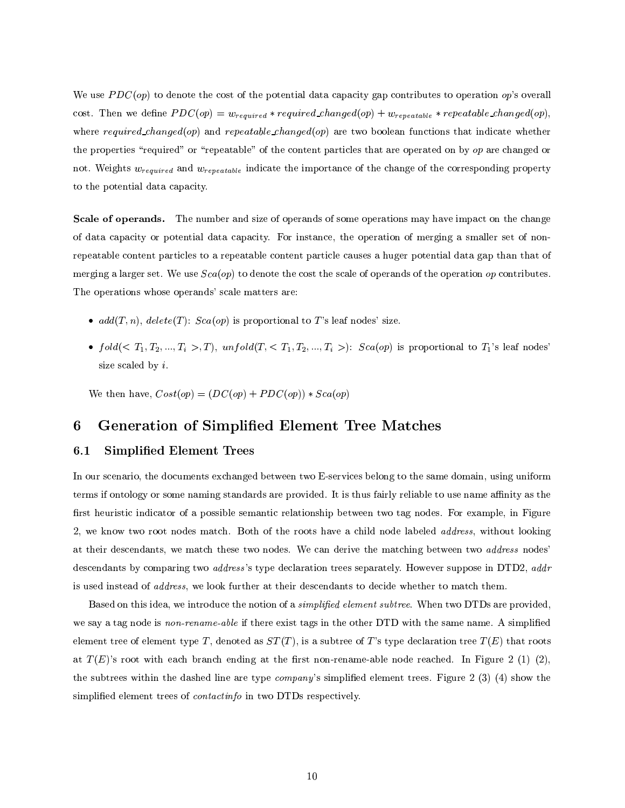We use  $PDC(op)$  to denote the cost of the potential data capacity gap contributes to operation op's overall cost. Then we define  $PDC(op) = w_{required} * required\_changed(op) + w_{repeated} * repeatable\_changed(op)$ , where required changed (op) and repeatable changed (op) are two boolean functions that indicate whether the properties "required" or "repeatable" of the content particles that are operated on by op are changed or not. Weights  $w_{required}$  and  $w_{repeated}$  indicate the importance of the change of the corresponding property to the potential data capacity.

Scale of operands. The number and size of operands of some operations may have impact on the change of data capacity or potential data capacity. For instance, the operation of merging a smaller set of nonrepeatable content particles to a repeatable content particle causes a huger potential data gap than that of merging a larger set. We use  $Sca(op)$  to denote the cost the scale of operands of the operation op contributes. The operations whose operands' scale matters are:

- $add(T, n)$ ,  $delete(T)$ :  $Sca(op)$  is proportional to T's leaf nodes' size.
- $fold( $T_1, T_2, ..., T_i > T$ ,  $unfold(T,  $T_1, T_2, ..., T_i >)$ :  $Sca(op)$  is proportional to  $T_1$ 's leaf nodes'$$ size scaled by  $i$ .

We then have,  $Cost(op) = (DC(op) + PDC(op)) * Sca(op)$ 

## **Generation of Simplified Element Tree Matches** 6

#### $6.1$ Simplified Element Trees

In our scenario, the documents exchanged between two E-services belong to the same domain, using uniform terms if ontology or some naming standards are provided. It is thus fairly reliable to use name affinity as the first heuristic indicator of a possible semantic relationship between two tag nodes. For example, in Figure 2, we know two root nodes match. Both of the roots have a child node labeled *address*, without looking at their descendants, we match these two nodes. We can derive the matching between two *address* nodes descendants by comparing two *address*'s type declaration trees separately. However suppose in DTD2, *addr* is used instead of *address*, we look further at their descendants to decide whether to match them.

Based on this idea, we introduce the notion of a *simplified element subtree*. When two DTDs are provided, we say a tag node is non-rename-able if there exist tags in the other DTD with the same name. A simplified element tree of element type T, denoted as  $ST(T)$ , is a subtree of T's type declaration tree  $T(E)$  that roots at  $T(E)$ 's root with each branch ending at the first non-rename-able node reached. In Figure 2 (1) (2), the subtrees within the dashed line are type *company*'s simplified element trees. Figure 2 (3) (4) show the simplified element trees of *contactinfo* in two DTDs respectively.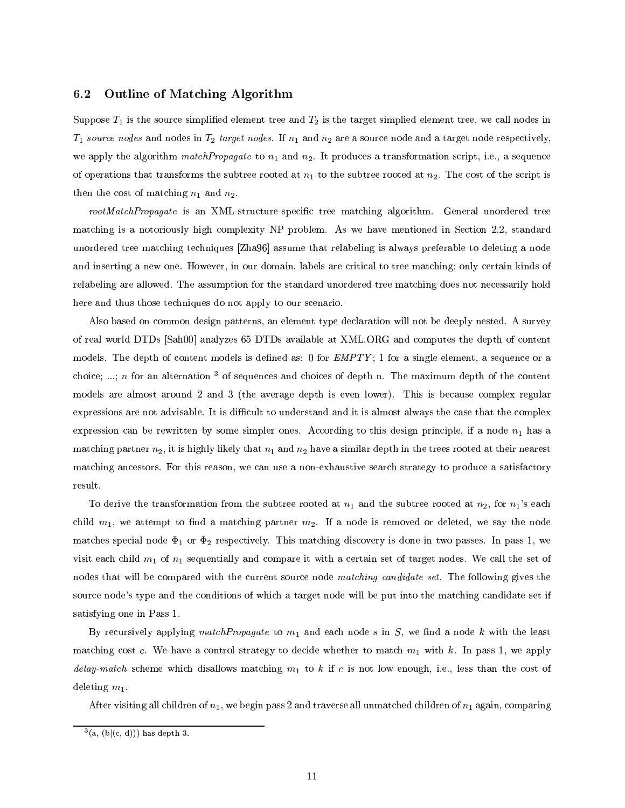#### 6.2 **Outline of Matching Algorithm**

Suppose  $T_1$  is the source simplified element tree and  $T_2$  is the target simplied element tree, we call nodes in  $T_1$  source nodes and nodes in  $T_2$  target nodes. If  $n_1$  and  $n_2$  are a source node and a target node respectively, we apply the algorithm match Propagate to  $n_1$  and  $n_2$ . It produces a transformation script, i.e., a sequence of operations that transforms the subtree rooted at  $n_1$  to the subtree rooted at  $n_2$ . The cost of the script is then the cost of matching  $n_1$  and  $n_2$ .

rootMatchPropagate is an XML-structure-specific tree matching algorithm. General unordered tree matching is a notoriously high complexity NP problem. As we have mentioned in Section 2.2, standard unordered tree matching techniques [Zha96] assume that relabeling is always preferable to deleting a node and inserting a new one. However, in our domain, labels are critical to tree matching; only certain kinds of relabeling are allowed. The assumption for the standard unordered tree matching does not necessarily hold here and thus those techniques do not apply to our scenario.

Also based on common design patterns, an element type declaration will not be deeply nested. A survey of real world DTDs [Sah00] analyzes 65 DTDs available at XML.ORG and computes the depth of content models. The depth of content models is defined as: 0 for EMPTY; 1 for a single element, a sequence or a choice; ...; n for an alternation  $3$  of sequences and choices of depth n. The maximum depth of the content models are almost around 2 and 3 (the average depth is even lower). This is because complex regular expressions are not advisable. It is difficult to understand and it is almost always the case that the complex expression can be rewritten by some simpler ones. According to this design principle, if a node  $n_1$  has a matching partner  $n_2$ , it is highly likely that  $n_1$  and  $n_2$  have a similar depth in the trees rooted at their nearest matching ancestors. For this reason, we can use a non-exhaustive search strategy to produce a satisfactory result.

To derive the transformation from the subtree rooted at  $n_1$  and the subtree rooted at  $n_2$ , for  $n_1$ 's each child  $m_1$ , we attempt to find a matching partner  $m_2$ . If a node is removed or deleted, we say the node matches special node  $\Phi_1$  or  $\Phi_2$  respectively. This matching discovery is done in two passes. In pass 1, we visit each child  $m_1$  of  $n_1$  sequentially and compare it with a certain set of target nodes. We call the set of nodes that will be compared with the current source node matching candidate set. The following gives the source node's type and the conditions of which a target node will be put into the matching candidate set if satisfying one in Pass 1.

By recursively applying match Propagate to  $m_1$  and each node s in S, we find a node k with the least matching cost c. We have a control strategy to decide whether to match  $m_1$  with k. In pass 1, we apply delay-match scheme which disallows matching  $m_1$  to k if c is not low enough, i.e., less than the cost of deleting  $m_1$ .

After visiting all children of  $n_1$ , we begin pass 2 and traverse all unmatched children of  $n_1$  again, comparing

 $^{3}(a, (b|(c, d)))$  has depth 3.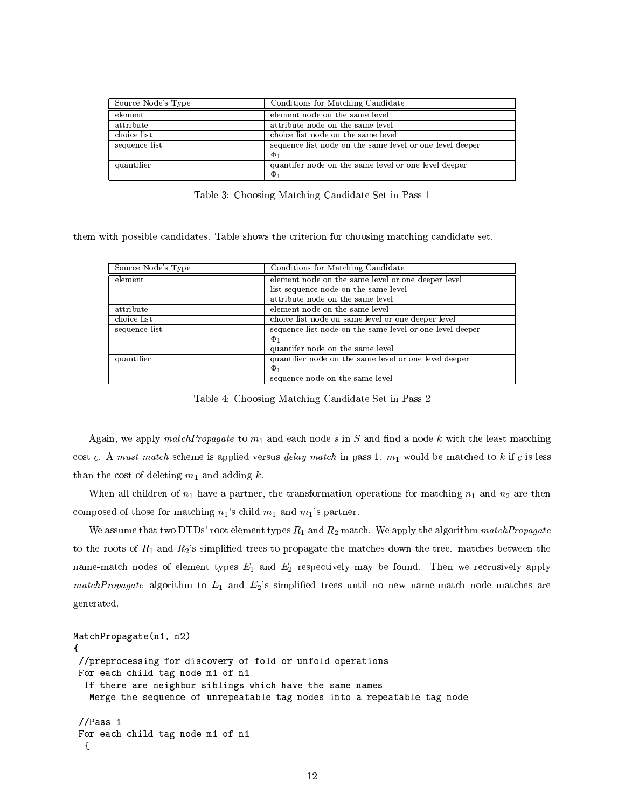| Source Node's Type | Conditions for Matching Candidate                        |
|--------------------|----------------------------------------------------------|
| element            | element node on the same level                           |
| attribute          | attribute node on the same level                         |
| choice list        | choice list node on the same level                       |
| sequence list      | sequence list node on the same level or one level deeper |
|                    | $\Phi_1$                                                 |
| quantifier         | quantifer node on the same level or one level deeper     |
|                    | $\Phi_1$                                                 |

Table 3: Choosing Matching Candidate Set in Pass 1

them with possible candidates. Table shows the criterion for choosing matching candidate set.

| Source Node's Type | Conditions for Matching Candidate                        |
|--------------------|----------------------------------------------------------|
| element            | element node on the same level or one deeper level       |
|                    | list sequence node on the same level                     |
|                    | attribute node on the same level                         |
| attribute          | element node on the same level                           |
| choice list        | choice list node on same level or one deeper level       |
| sequence list      | sequence list node on the same level or one level deeper |
|                    | $\Phi_1$                                                 |
|                    | quantifer node on the same level                         |
| quantifier         | quantifier node on the same level or one level deeper    |
|                    | $\Phi_1$                                                 |
|                    | sequence node on the same level                          |

Table 4: Choosing Matching Candidate Set in Pass 2

Again, we apply match Propagate to  $m_1$  and each node s in S and find a node k with the least matching cost c. A must-match scheme is applied versus delay-match in pass 1.  $m_1$  would be matched to k if c is less than the cost of deleting  $m_1$  and adding k.

When all children of  $n_1$  have a partner, the transformation operations for matching  $n_1$  and  $n_2$  are then composed of those for matching  $n_1$ 's child  $m_1$  and  $m_1$ 's partner.

We assume that two DTDs' root element types  $R_1$  and  $R_2$  match. We apply the algorithm match *Propagate* to the roots of  $R_1$  and  $R_2$ 's simplified trees to propagate the matches down the tree. matches between the name-match nodes of element types  $E_1$  and  $E_2$  respectively may be found. Then we recrusively apply matchPropagate algorithm to  $E_1$  and  $E_2$ 's simplified trees until no new name-match node matches are generated.

```
MatchPropagate(n1, n2)
\mathcal{F}//preprocessing for discovery of fold or unfold operations
For each child tag node m1 of n1
  If there are neighbor siblings which have the same names
   Merge the sequence of unrepeatable tag nodes into a repeatable tag node
 //Pass 1For each child tag node m1 of n1
  \left\{ \right.
```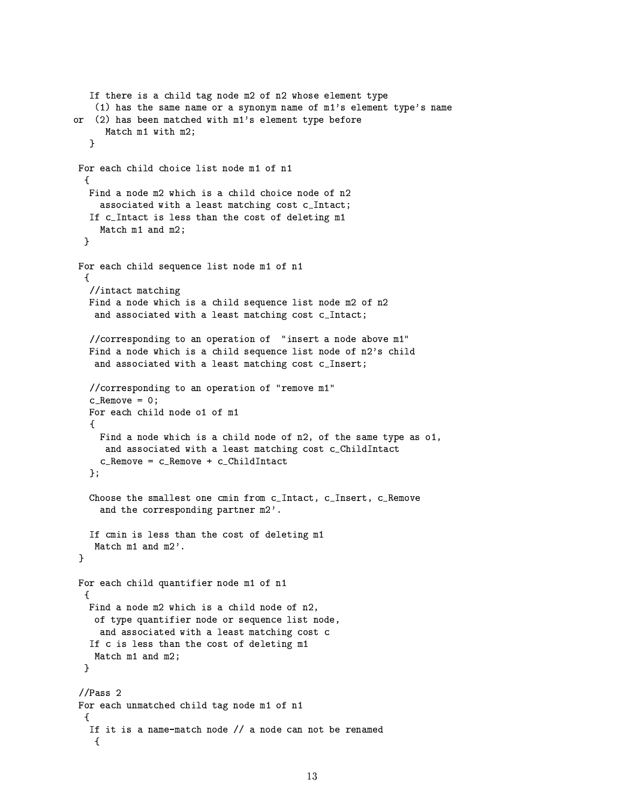```
If there is a child tag node m2 of n2 whose element type
    (1) has the same name or a synonym name of m1's element type's name
or (2) has been matched with m1's element type before
      Match m1 with m2;
   P.
For each child choice list node m1 of n1
  \mathcal{L}Find a node m2 which is a child choice node of n2
     associated with a least matching cost c_Intact;
   If c_Intact is less than the cost of deleting m1
     Match m1 and m2;
  }
For each child sequence list node m1 of n1
  €
   //intact matching
  Find a node which is a child sequence list node m2 of n2
    and associated with a least matching cost c_Intact;
   //corresponding to an operation of "insert a node above m1"
   Find a node which is a child sequence list node of n2's child
    and associated with a least matching cost c_Insert;
   //corresponding to an operation of "remove m1"
   c<sub>-</sub>Remove = 0;
   For each child node o1 of m1
   €
    Find a node which is a child node of n2, of the same type as o1,
      and associated with a least matching cost c_ChildIntact
     c_Remove = c_Remove + c_ChildIntact
   \}:
   Choose the smallest one cmin from c_Intact, c_Insert, c_Remove
     and the corresponding partner m2'.
   If cmin is less than the cost of deleting m1
   Match m1 and m2'.
 \mathbf{r}For each child quantifier node m1 of n1
  f.
  Find a node m2 which is a child node of n2,
    of type quantifier node or sequence list node,
    and associated with a least matching cost c
   If c is less than the cost of deleting m1
    Match m1 and m2;
  \mathbf{r}//Pass 2For each unmatched child tag node m1 of n1
  €
   If it is a name-match node // a node can not be renamed
    \mathcal{L}
```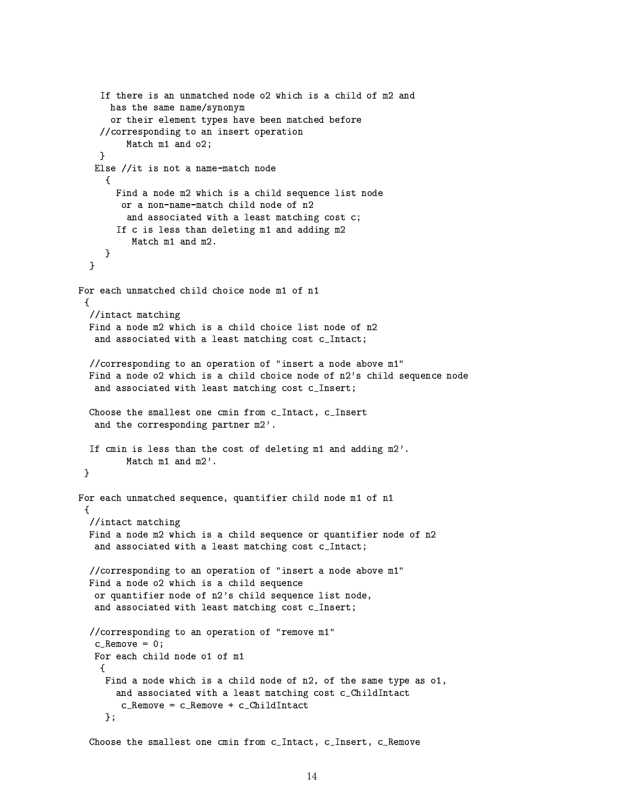```
If there is an unmatched node o2 which is a child of m2 and
      has the same name/synonym
      or their element types have been matched before
    //corresponding to an insert operation
         Match m1 and o2;
    ŀ
   Else //it is not a name-match node
     \mathcal{L}Find a node m2 which is a child sequence list node
        or a non-name-match child node of n2
         and associated with a least matching cost c;
       If c is less than deleting m1 and adding m2
          Match m1 and m2.
     \mathcal{F}\mathbf{r}For each unmatched child choice node m1 of n1
 f.
  //intact matching
 Find a node m2 which is a child choice list node of n2
   and associated with a least matching cost c_Intact;
  //corresponding to an operation of "insert a node above m1"
  Find a node o2 which is a child choice node of n2's child sequence node
   and associated with least matching cost c_Insert;
  Choose the smallest one cmin from c_Intact, c_Insert
   and the corresponding partner m2'.
  If cmin is less than the cost of deleting m1 and adding m2'.
         Match m1 and m2'.
 \mathcal{F}For each unmatched sequence, quantifier child node m1 of n1
  //intact matching
  Find a node m2 which is a child sequence or quantifier node of n2
   and associated with a least matching cost c_Intact;
  //corresponding to an operation of "insert a node above m1"
  Find a node o2 which is a child sequence
   or quantifier node of n2's child sequence list node,
   and associated with least matching cost c_Insert;
  //corresponding to an operation of "remove m1"
   c<sub>-</sub>Remove = 0;
   For each child node o1 of m1
    \mathcal{L}Find a node which is a child node of n2, of the same type as o1,
       and associated with a least matching cost c ChildIntact
        c_Remove = c_Remove + c_ChildIntact
     \}:
  Choose the smallest one cmin from c_Intact, c_Insert, c_Remove
```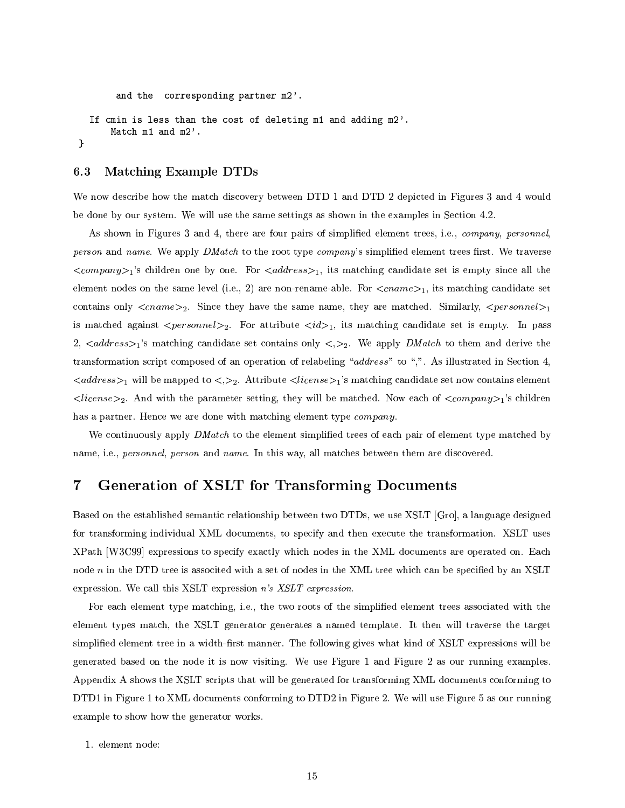```
and the corresponding partner m2'.
  If cmin is less than the cost of deleting m1 and adding m2'.
      Match m1 and m2'.
}
```
#### **Matching Example DTDs**  $6.3$

We now describe how the match discovery between DTD 1 and DTD 2 depicted in Figures 3 and 4 would be done by our system. We will use the same settings as shown in the examples in Section 4.2.

As shown in Figures 3 and 4, there are four pairs of simplified element trees, i.e., *company, personnel*, person and name. We apply DMatch to the root type company's simplified element trees first. We traverse  $\langle company\rangle_1$ 's children one by one. For  $\langle address\rangle_1$ , its matching candidate set is empty since all the element nodes on the same level (i.e., 2) are non-rename-able. For  $\langle \text{c}name \rangle_1$ , its matching candidate set contains only  $\langle \text{c}name \rangle_2$ . Since they have the same name, they are matched. Similarly,  $\langle \text{person} \rangle_1$ is matched against  $\leq personne l >_2$ . For attribute  $\leq id >_1$ , its matching candidate set is empty. In pass 2, <address>1's matching candidate set contains only < $>$ 2. We apply DMatch to them and derive the transformation script composed of an operation of relabeling "address" to ",". As illustrated in Section 4,  $\langle address \rangle_1$  will be mapped to  $\langle \rangle_2$ . Attribute  $\langle license \rangle_1$ 's matching candidate set now contains element  $\langle license\rangle_2$ . And with the parameter setting, they will be matched. Now each of  $\langle company\rangle_1$ 's children has a partner. Hence we are done with matching element type *company*.

We continuously apply DMatch to the element simplified trees of each pair of element type matched by name, i.e., personnel, person and name. In this way, all matches between them are discovered.

## Generation of XSLT for Transforming Documents  $\overline{7}$

Based on the established semantic relationship between two DTDs, we use XSLT [Gro], a language designed for transforming individual XML documents, to specify and then execute the transformation. XSLT uses XPath [W3C99] expressions to specify exactly which nodes in the XML documents are operated on. Each node n in the DTD tree is associted with a set of nodes in the XML tree which can be specified by an XSLT expression. We call this XSLT expression  $n's$  XSLT expression.

For each element type matching, i.e., the two roots of the simplified element trees associated with the element types match, the XSLT generator generates a named template. It then will traverse the target simplified element tree in a width-first manner. The following gives what kind of XSLT expressions will be generated based on the node it is now visiting. We use Figure 1 and Figure 2 as our running examples. Appendix A shows the XSLT scripts that will be generated for transforming XML documents conforming to DTD1 in Figure 1 to XML documents conforming to DTD2 in Figure 2. We will use Figure 5 as our running example to show how the generator works.

1. element node: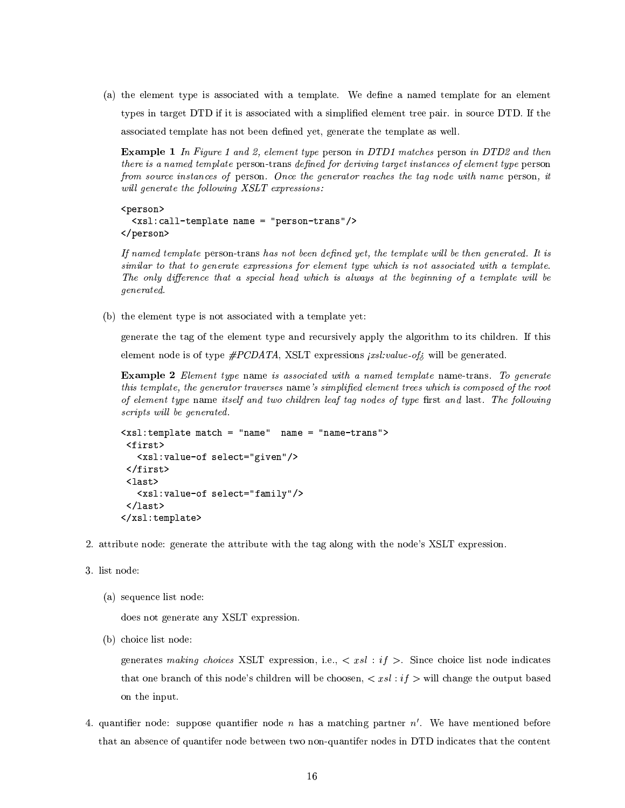(a) the element type is associated with a template. We define a named template for an element types in target DTD if it is associated with a simplified element tree pair. in source DTD. If the associated template has not been defined yet, generate the template as well.

**Example 1** In Figure 1 and 2, element type person in DTD1 matches person in DTD2 and then there is a named template person-trans defined for deriving target instances of element type person from source instances of person. Once the generator reaches the tag node with name person, it will generate the following XSLT expressions:

<person> <xsl:call-template name = "person-trans"/> </person>

If named template person-trans has not been defined yet, the template will be then generated. It is similar to that to generate expressions for element type which is not associated with a template. The only difference that a special head which is always at the beginning of a template will be *generated.* 

(b) the element type is not associated with a template yet:

generate the tag of the element type and recursively apply the algorithm to its children. If this element node is of type  $\#PCDATA$ , XSLT expressions *jxsl:value-of<sub>i</sub>* will be generated.

**Example 2** Element type name is associated with a named template name-trans. To generate this template, the generator traverses name's simplified element trees which is composed of the root of element type name itself and two children leaf tag nodes of type first and last. The following scripts will be generated.

```
<xsl:template match = "name" name = "name-trans">
 <first>
   <xsl:value-of select="given"/>
 \langle/first>
 \langlelast>
   <xsl:value-of select="family"/>
 \langle/last>
\langle xsl:template\rangle
```
- 2. attribute node: generate the attribute with the tag along with the node's XSLT expression.
- 3. list node:
	- (a) sequence list node:

does not generate any XSLT expression.

(b) choice list node:

generates making choices XSLT expression, i.e.,  $\langle xsl : i f \rangle$ . Since choice list node indicates that one branch of this node's children will be choosen,  $\langle xsl : if \rangle$  will change the output based on the input.

4. quantifier node: suppose quantifier node  $n$  has a matching partner  $n'$ . We have mentioned before that an absence of quantifer node between two non-quantifer nodes in DTD indicates that the content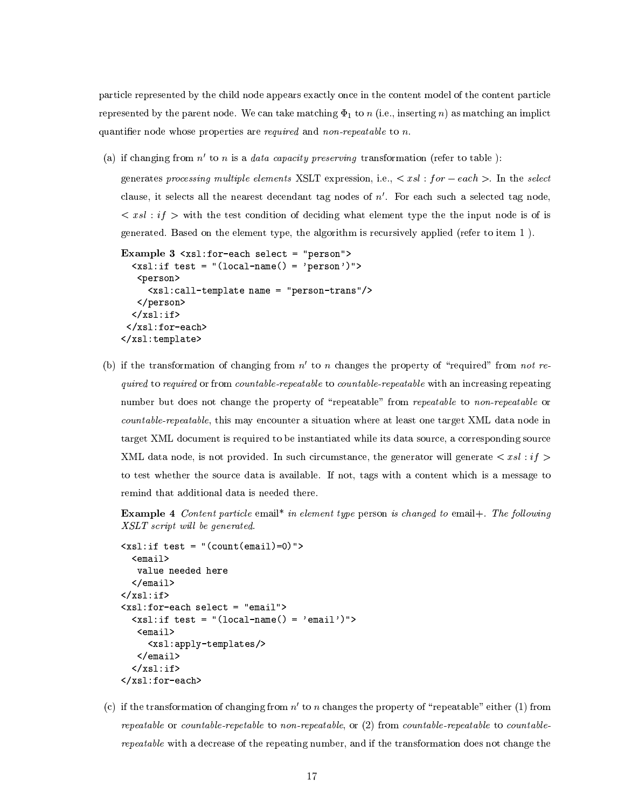particle represented by the child node appears exactly once in the content model of the content particle represented by the parent node. We can take matching  $\Phi_1$  to n (i.e., inserting n) as matching an implict quantifier node whose properties are *required* and *non-repeatable* to  $n$ .

(a) if changing from  $n'$  to n is a *data capacity preserving* transformation (refer to table):

generates processing multiple elements XSLT expression, i.e.,  $\langle xsl : for-each \rangle$ . In the select clause, it selects all the nearest decendant tag nodes of  $n'$ . For each such a selected tag node,  $\langle xsl : i \, f \rangle$  with the test condition of deciding what element type the the input node is of is generated. Based on the element type, the algorithm is recursively applied (refer to item 1).

```
Example 3 <xsl:for-each select = "person">
  \langle xsl: \text{if test} = "(local-name() = 'person')" \rangle<person>
      <xsl:call-template name = "person-trans"/>
   </person>
  \langle xsl:if \rangle</xsl:for-each>
\langle xsl:template>
```
(b) if the transformation of changing from  $n'$  to n changes the property of "required" from not required to required or from countable-repeatable to countable-repeatable with an increasing repeating number but does not change the property of "repeatable" from repeatable to non-repeatable or countable-repeatable, this may encounter a situation where at least one target XML data node in target XML document is required to be instantiated while its data source, a corresponding source XML data node, is not provided. In such circumstance, the generator will generate  $\langle xsl : i \, f \rangle$ to test whether the source data is available. If not, tags with a content which is a message to remind that additional data is needed there.

**Example 4** Content particle email<sup>\*</sup> in element type person is changed to email+. The following XSLT script will be generated.

```
\langle xsl: \text{if test} = "(count(email)=0) \rangle<email>value needed here
  \langle/email>
\langle xsl : if \rangle\langle xsl:for\text{-}each\text{ select = "email"}\rangle\langle xsl: \text{if test} = "(local-name() = 'email')" \rangle<email>
       <xsl:apply-templates/>
    \langle/email>
   \langle xsl:if>
</xsl:for-each>
```
(c) if the transformation of changing from  $n'$  to n changes the property of "repeatable" either (1) from repeatable or countable-repetable to non-repeatable, or  $(2)$  from countable-repeatable to countable*repeatable* with a decrease of the repeating number, and if the transformation does not change the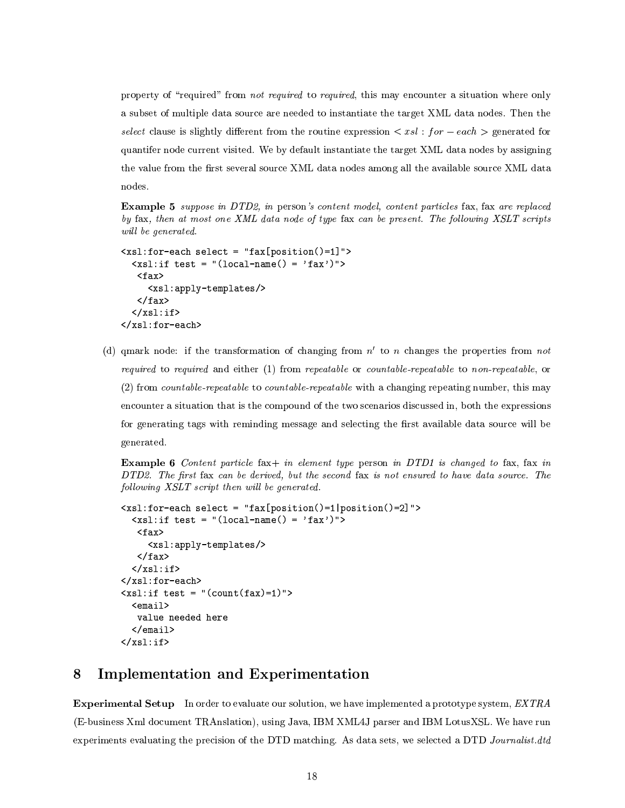property of "required" from not required to required, this may encounter a situation where only a subset of multiple data source are needed to instantiate the target XML data nodes. Then the select clause is slightly different from the routine expression  $\langle xsl : for -each \rangle$  generated for quantifer node current visited. We by default instantiate the target XML data nodes by assigning the value from the first several source XML data nodes among all the available source XML data nodes.

**Example 5** suppose in DTD2, in person's content model, content particles fax, fax are replaced by fax, then at most one XML data node of type fax can be present. The following XSLT scripts will be generated.

```
<xsl:for-each select = "fax[position()=1]">
  \langle xsl: \text{if test} = "(local-name() = 'far')" \rangle<fax><xsl:apply-templates/>
   \langle fax>
  \langle xsl:if>
</xsl:for-each>
```
(d) qmark node: if the transformation of changing from  $n'$  to n changes the properties from not required to required and either  $(1)$  from repeatable or countable-repeatable to non-repeatable, or (2) from *countable-repeatable* to *countable-repeatable* with a changing repeating number, this may encounter a situation that is the compound of the two scenarios discussed in, both the expressions for generating tags with reminding message and selecting the first available data source will be generated.

**Example 6** Content particle fax + in element type person in DTD1 is changed to fax, fax in DTD2. The first fax can be derived, but the second fax is not ensured to have data source. The following XSLT script then will be generated.

```
\{xs1: for-each select = "fax[position() = 1|position() = 2] \}\langle xsl: \text{if test} = "(local-name() = 'fax')" \rangle<fax><xsl:apply-templates/>
    \langle fax>
  \langle xsl:if>
</xsl:for-each>
\langle xsl: \text{if test} = "(count(fax)=1) \rangle<email>
    value needed here
   \langle/email>
\langle xsl : \text{if} \rangle
```
## 8 Implementation and Experimentation

**Experimental Setup** In order to evaluate our solution, we have implemented a prototype system, EXTRA (E-business Xml document TRAnslation), using Java, IBM XML4J parser and IBM LotusXSL. We have run experiments evaluating the precision of the DTD matching. As data sets, we selected a DTD Journalist.dtd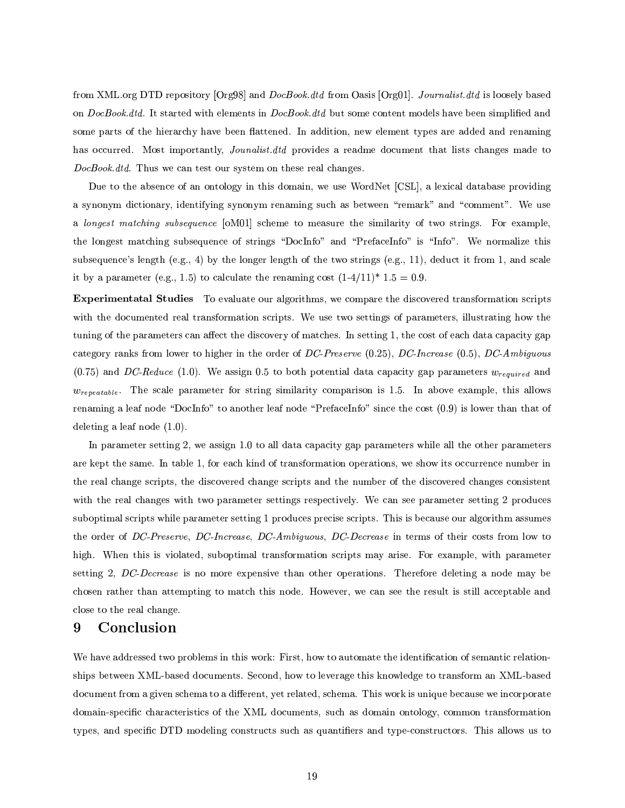from XML.org DTD repository [Org98] and *DocBook.dtd* from Oasis [Org01]. Journalist.dtd is loosely based on DocBook.dtd. It started with elements in DocBook.dtd but some content models have been simplified and some parts of the hierarchy have been flattened. In addition, new element types are added and renaming has occurred. Most importantly, *Jounalist.dtd* provides a readme document that lists changes made to DocBook.dtd. Thus we can test our system on these real changes.

Due to the absence of an ontology in this domain, we use WordNet [CSL], a lexical database providing a synonym dictionary, identifying synonym renaming such as between "remark" and "comment". We use a longest matching subsequence [oM01] scheme to measure the similarity of two strings. For example, the longest matching subsequence of strings "DocInfo" and "PrefaceInfo" is "Info". We normalize this subsequence's length (e.g., 4) by the longer length of the two strings (e.g., 11), deduct it from 1, and scale it by a parameter (e.g., 1.5) to calculate the renaming cost  $(1-4/11)^*$  1.5 = 0.9.

**Experimentatal Studies** To evaluate our algorithms, we compare the discovered transformation scripts with the documented real transformation scripts. We use two settings of parameters, illustrating how the tuning of the parameters can affect the discovery of matches. In setting 1, the cost of each data capacity gap category ranks from lower to higher in the order of DC-Preserve  $(0.25)$ , DC-Increase  $(0.5)$ , DC-Ambiguous  $(0.75)$  and DC-Reduce (1.0). We assign 0.5 to both potential data capacity gap parameters  $w_{required}$  and  $w_{repeatedble}$ . The scale parameter for string similarity comparison is 1.5. In above example, this allows renaming a leaf node "DocInfo" to another leaf node "PrefaceInfo" since the cost (0.9) is lower than that of deleting a leaf node  $(1.0)$ .

In parameter setting 2, we assign 1.0 to all data capacity gap parameters while all the other parameters are kept the same. In table 1, for each kind of transformation operations, we show its occurrence number in the real change scripts, the discovered change scripts and the number of the discovered changes consistent with the real changes with two parameter settings respectively. We can see parameter setting 2 produces suboptimal scripts while parameter setting 1 produces precise scripts. This is because our algorithm assumes the order of DC-Preserve, DC-Increase, DC-Ambiguous, DC-Decrease in terms of their costs from low to high. When this is violated, suboptimal transformation scripts may arise. For example, with parameter setting 2, DC-Decrease is no more expensive than other operations. Therefore deleting a node may be chosen rather than attempting to match this node. However, we can see the result is still acceptable and close to the real change.

## 9 Conclusion

We have addressed two problems in this work: First, how to automate the identification of semantic relationships between XML-based documents. Second, how to leverage this knowledge to transform an XML-based document from a given schema to a different, yet related, schema. This work is unique because we incorporate domain-specific characteristics of the XML documents, such as domain ontology, common transformation types, and specific DTD modeling constructs such as quantifiers and type-constructors. This allows us to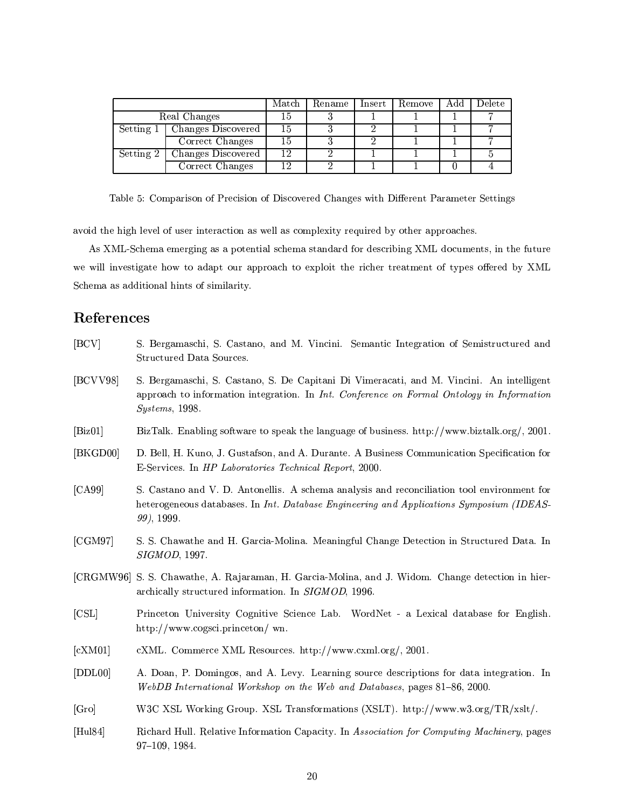|              |                    | Match | Rename | Insert | Remove | Add | Delete |
|--------------|--------------------|-------|--------|--------|--------|-----|--------|
| Real Changes |                    | 15    |        |        |        |     |        |
| Setting 1    | Changes Discovered | 15    |        |        |        |     |        |
|              | Correct Changes    | 15    |        |        |        |     |        |
| Setting 2    | Changes Discovered | 12    |        |        |        |     |        |
|              | Correct Changes    | 1 ດ   |        |        |        |     |        |

Table 5: Comparison of Precision of Discovered Changes with Different Parameter Settings

avoid the high level of user interaction as well as complexity required by other approaches.

As XML-Schema emerging as a potential schema standard for describing XML documents, in the future we will investigate how to adapt our approach to exploit the richer treatment of types offered by XML Schema as additional hints of similarity.

## References

| [BCV]            | S. Bergamaschi, S. Castano, and M. Vincini. Semantic Integration of Semistructured and<br>Structured Data Sources.                                                                                      |  |  |
|------------------|---------------------------------------------------------------------------------------------------------------------------------------------------------------------------------------------------------|--|--|
| [BCVV98]         | S. Bergamaschi, S. Castano, S. De Capitani Di Vimeracati, and M. Vincini. An intelligent<br>approach to information integration. In Int. Conference on Formal Ontology in Information<br>Systems, 1998. |  |  |
| $[\text{Biz01}]$ | BizTalk. Enabling software to speak the language of business. http://www.biztalk.org/, 2001.                                                                                                            |  |  |
| [BKGD00]         | D. Bell, H. Kuno, J. Gustafson, and A. Durante. A Business Communication Specification for<br>E-Services. In HP Laboratories Technical Report, 2000.                                                    |  |  |
| [CA99]           | S. Castano and V. D. Antonellis. A schema analysis and reconciliation tool environment for<br>heterogeneous databases. In Int. Database Engineering and Applications Symposium (IDEAS-<br>99, 1999.     |  |  |
| [CGM97]          | S. S. Chawathe and H. Garcia-Molina. Meaningful Change Detection in Structured Data. In<br>SIGMOD, 1997.                                                                                                |  |  |
|                  | [CRGMW96] S. S. Chawathe, A. Rajaraman, H. Garcia-Molina, and J. Widom. Change detection in hier-<br>archically structured information. In SIGMOD, 1996.                                                |  |  |
| [CSL]            | Princeton University Cognitive Science Lab. WordNet - a Lexical database for English.<br>http://www.cogsci.princeton/wn.                                                                                |  |  |
| [cKM01]          | cXML. Commerce XML Resources. http://www.cxml.org/, 2001.                                                                                                                                               |  |  |
| [DDLO0]          | A. Doan, P. Domingos, and A. Levy. Learning source descriptions for data integration. In<br>WebDB International Workshop on the Web and Databases, pages 81-86, 2000.                                   |  |  |
| [Gro]            | W3C XSL Working Group. XSL Transformations (XSLT). http://www.w3.org/TR/xslt/.                                                                                                                          |  |  |
| [Hul84]          | Richard Hull. Relative Information Capacity. In Association for Computing Machinery, pages<br>97-109, 1984.                                                                                             |  |  |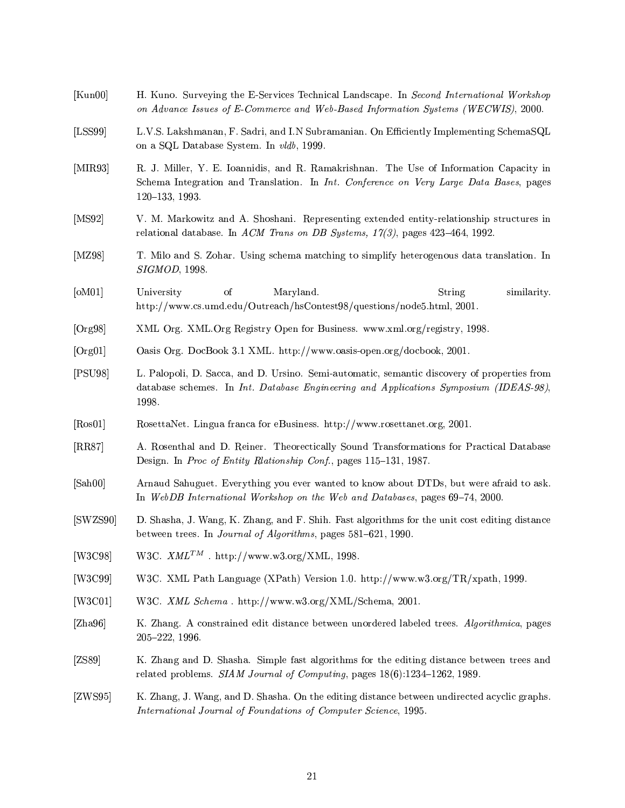- $[Kun00]$ H. Kuno. Surveying the E-Services Technical Landscape. In Second International Workshop on Advance Issues of E-Commerce and Web-Based Information Systems (WECWIS), 2000.
- L.V.S. Lakshmanan, F. Sadri, and I.N Subramanian. On Efficiently Implementing SchemaSQL  $[LSS99]$ on a SQL Database System. In vldb, 1999.
- $[MIR93]$ R. J. Miller, Y. E. Ioannidis, and R. Ramakrishnan. The Use of Information Capacity in Schema Integration and Translation. In Int. Conference on Very Large Data Bases, pages 120-133, 1993.
- [ $MS92$ ] V. M. Markowitz and A. Shoshani. Representing extended entity-relationship structures in relational database. In ACM Trans on DB Systems,  $17(3)$ , pages 423-464, 1992.
- $[MZ98]$ T. Milo and S. Zohar. Using schema matching to simplify heterogenous data translation. In SIGMOD, 1998.
- $[OM01]$ Maryland. University <sub>of</sub> String similarity. http://www.cs.umd.edu/Outreach/hsContest98/questions/node5.html, 2001.
- $[Org98]$ XML Org. XML Org Registry Open for Business. www.xml.org/registry, 1998.
- $[Org 01]$ Oasis Org. DocBook 3.1 XML. http://www.oasis-open.org/docbook, 2001.
- $|PSU98|$ L. Palopoli, D. Sacca, and D. Ursino. Semi-automatic, semantic discovery of properties from database schemes. In Int. Database Engineering and Applications Symposium (IDEAS-98), 1998.
- $[Ros01]$ RosettaNet. Lingua franca for eBusiness. http://www.rosettanet.org, 2001.
- $[RR87]$ A. Rosenthal and D. Reiner. Theorectically Sound Transformations for Practical Database Design. In Proc of Entity Rlationship Conf., pages 115-131, 1987.
- $[Sh00]$ Arnaud Sahuguet. Everything you ever wanted to know about DTDs, but were afraid to ask. In WebDB International Workshop on the Web and Databases, pages 69-74, 2000.
- [SWZS90] D. Shasha, J. Wang, K. Zhang, and F. Shih. Fast algorithms for the unit cost editing distance between trees. In Journal of Algorithms, pages 581-621, 1990.
- W3C.  $XML^{TM}$ . http://www.w3.org/XML, 1998. [W3C98]
- $[W3C99]$ W3C. XML Path Language (XPath) Version 1.0. http://www.w3.org/TR/xpath, 1999.
- W3C. XML Schema. http://www.w3.org/XML/Schema, 2001.  $[W3C01]$
- $[Zha96]$ K. Zhang. A constrained edit distance between unordered labeled trees. Algorithmica, pages  $205 - 222$ , 1996.
- $[ZS89]$ K. Zhang and D. Shasha. Simple fast algorithms for the editing distance between trees and related problems. SIAM Journal of Computing, pages 18(6):1234-1262, 1989.
- $[ZWS95]$ K. Zhang, J. Wang, and D. Shasha. On the editing distance between undirected acyclic graphs. International Journal of Foundations of Computer Science, 1995.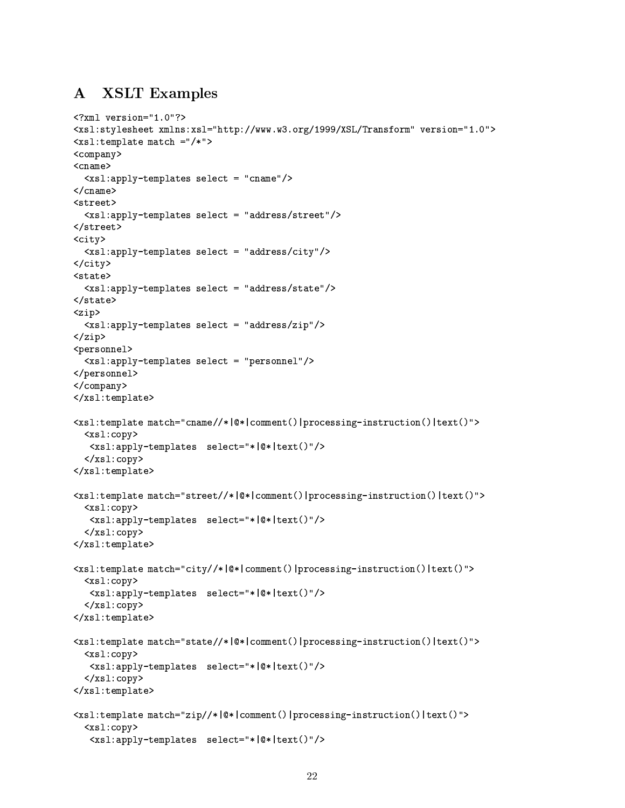## **XSLT Examples**  ${\bf A}$

```
\frac{2}{3} xml version="1.0"?>
<xsl:stylesheet xmlns:xsl="http://www.w3.org/1999/XSL/Transform" version="1.0">
\langle xsl:template match ="/*">
<company>
<cname><xsl:apply-templates select = "cname"/>
\langle/cname>
<street>
  \langle xsl:apply-templates select = "address/street" \rangle</street>
\langle \text{city} \rangle<xsl:apply-templates select = "address/city"/>
\langle \text{city} \rangle<state>
  <xsl:apply-templates select = "address/state"/>
\langle/state>
<zip>
  <xsl:apply-templates select = "address/zip"/>
\langle/zip>
<personnel>
  <xsl:apply-templates select = "personnel"/>
</personnel>
</company>
</xsl:template>
<xsl:template match="cname//*|@*|comment()|processing-instruction()|text()">
  < x s l : copy<xsl:apply-templates select="*|@*|text()"/>
  </xsl:copy>
</xsl:template>
<xsl:template match="street//*|@*|comment()|processing-instruction()|text()">
  <sub>xsl:copy</sub></sub>
   <xsl:apply-templates select="*|@*|text()"/>
  </xsl:copy>
</xsl:template>
<xsl:template match="city//*|@*|comment()|processing-instruction()|text()">
  <sub>xsl</sub>:copy></sub>
   <xsl:apply-templates select="*|@*|text()"/>
  \langle xsl:copy\rangle</xsl:template>
<xsl:template match="state//*|@*|comment()|processing-instruction()|text()">
  < x s l : copy<xsl:apply-templates select="*|@*|text()"/>
  \langle xsl:copy\rangle</xsl:template>
<xsl:template match="zip//*|@*|comment()|processing-instruction()|text()">
  < x s l : copy<xsl:apply-templates select="*|@*|text()"/>
```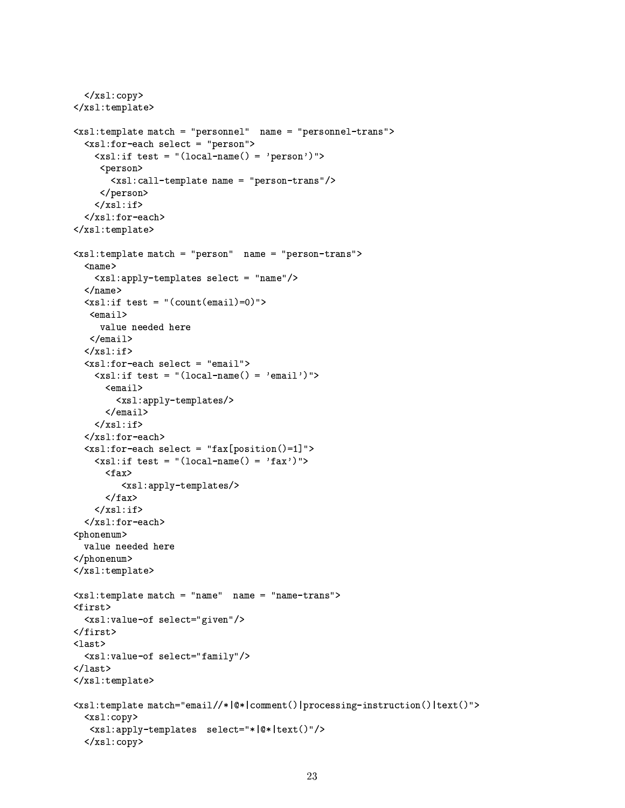```
\langle xsl:copy\rangle</xsl:template>
<xsl:template match = "personnel" name = "personnel-trans">
  <xsl:for-each select = "person">
    \langle xsl: \text{if test} = "(local-name() = 'person')" \rangle<person>
        <xsl:call-template name = "person-trans"/>
      \langle/person>
    \langle xsl:if>
  </xsl:for-each>
</xsl:template>
<xsl:template match = "person" name = "person-trans">
  <sub>name</sub></sub>
     <xsl:apply-templates select = "name"/>
  \langle/name>
  \langle xsl: \text{if test} = "(count(email)=0) \rangle<email>value needed here
   \langle/email>
  \langle xsl:if>
  <xsl:for-each select = "email">
    \langle xsl: \text{if test} = "(local-name() = 'email')" \rangle<email>
         <xsl:apply-templates/>
       \langle/email>
    \langle xsl:if>
  </xsl:for-each>
  \langle xsl:for\text{-}each\text{ select }= "fax[position() = 1]"\rangle\langle xsl: \text{if test} = "(local-name() = 'far')" \rangle<fax>
           <xsl:apply-templates/>
       \langle fax>
    \langle xsl:if>
  \langle xsl:for-each \rangle<phonenum>
  value needed here
</phonenum>
</xsl:template>
<xsl:template match = "name" name = "name-trans">
<first>
  <xsl:value-of select="given"/>
\langlefirst>
\lambda<xsl:value-of select="family"/>
\langle/last>
\langle xsl:template>
<xsl:template match="email//*|@*|comment()|processing-instruction()|text()">
  <xsl:copy>
   <xsl:apply-templates select="*|@*|text()"/>
  \langle xsl:copy\rangle
```